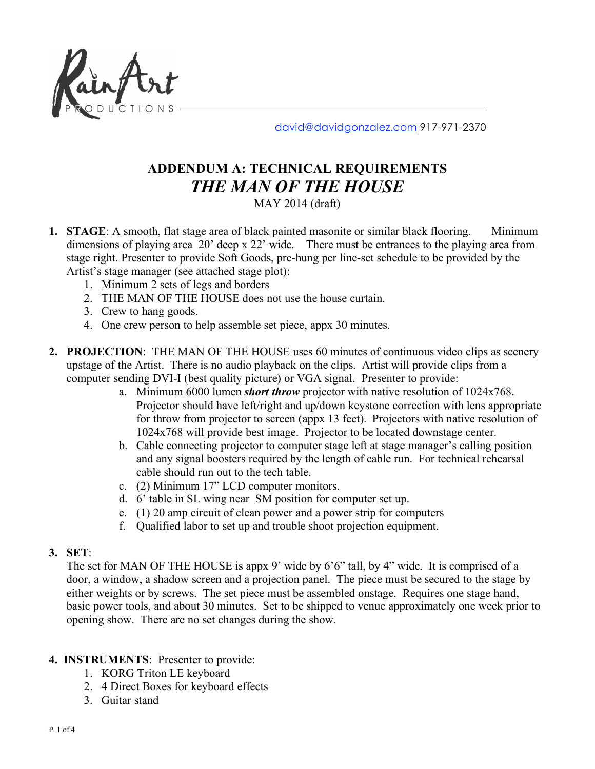

david@davidgonzalez.com 917-971-2370

# **ADDENDUM A: TECHNICAL REQUIREMENTS** *THE MAN OF THE HOUSE*

MAY 2014 (draft)

- **1. STAGE**: A smooth, flat stage area of black painted masonite or similar black flooring. Minimum dimensions of playing area 20' deep x 22' wide. There must be entrances to the playing area from stage right. Presenter to provide Soft Goods, pre-hung per line-set schedule to be provided by the Artist's stage manager (see attached stage plot):
	- 1. Minimum 2 sets of legs and borders
	- 2. THE MAN OF THE HOUSE does not use the house curtain.
	- 3. Crew to hang goods.
	- 4. One crew person to help assemble set piece, appx 30 minutes.
- **2. PROJECTION**: THE MAN OF THE HOUSE uses 60 minutes of continuous video clips as scenery upstage of the Artist. There is no audio playback on the clips. Artist will provide clips from a computer sending DVI-I (best quality picture) or VGA signal. Presenter to provide:
	- a. Minimum 6000 lumen *short throw* projector with native resolution of 1024x768. Projector should have left/right and up/down keystone correction with lens appropriate for throw from projector to screen (appx 13 feet). Projectors with native resolution of 1024x768 will provide best image. Projector to be located downstage center.
	- b. Cable connecting projector to computer stage left at stage manager's calling position and any signal boosters required by the length of cable run. For technical rehearsal cable should run out to the tech table.
	- c. (2) Minimum 17" LCD computer monitors.
	- d. 6' table in SL wing near SM position for computer set up.
	- e. (1) 20 amp circuit of clean power and a power strip for computers
	- f. Qualified labor to set up and trouble shoot projection equipment.

#### **3. SET**:

The set for MAN OF THE HOUSE is appx 9' wide by 6'6" tall, by 4" wide. It is comprised of a door, a window, a shadow screen and a projection panel. The piece must be secured to the stage by either weights or by screws. The set piece must be assembled onstage. Requires one stage hand, basic power tools, and about 30 minutes. Set to be shipped to venue approximately one week prior to opening show. There are no set changes during the show.

## **4. INSTRUMENTS**: Presenter to provide:

- 1. KORG Triton LE keyboard
- 2. 4 Direct Boxes for keyboard effects
- 3. Guitar stand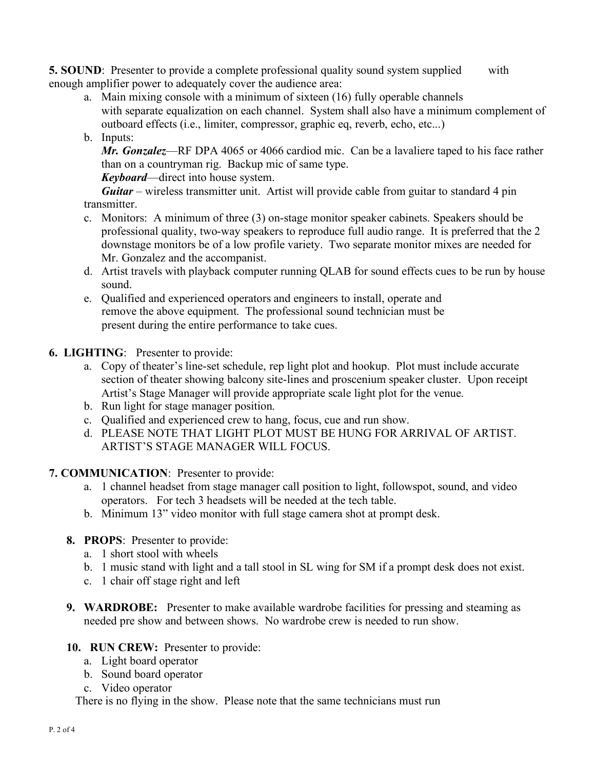**5. SOUND**: Presenter to provide a complete professional quality sound system supplied with enough amplifier power to adequately cover the audience area:

a. Main mixing console with a minimum of sixteen (16) fully operable channels with separate equalization on each channel. System shall also have a minimum complement of outboard effects (i.e., limiter, compressor, graphic eq, reverb, echo, etc...)

# b. Inputs:

*Mr. Gonzalez*—RF DPA 4065 or 4066 cardiod mic. Can be a lavaliere taped to his face rather than on a countryman rig. Backup mic of same type.

*Keyboard*—direct into house system.

*Guitar* – wireless transmitter unit. Artist will provide cable from guitar to standard 4 pin transmitter.

- c. Monitors: A minimum of three (3) on-stage monitor speaker cabinets. Speakers should be professional quality, two-way speakers to reproduce full audio range. It is preferred that the 2 downstage monitors be of a low profile variety. Two separate monitor mixes are needed for Mr. Gonzalez and the accompanist.
- d. Artist travels with playback computer running QLAB for sound effects cues to be run by house sound.
- e. Qualified and experienced operators and engineers to install, operate and remove the above equipment. The professional sound technician must be present during the entire performance to take cues.
- **6. LIGHTING**: Presenter to provide:
	- a. Copy of theater's line-set schedule, rep light plot and hookup. Plot must include accurate section of theater showing balcony site-lines and proscenium speaker cluster. Upon receipt Artist's Stage Manager will provide appropriate scale light plot for the venue.
	- b. Run light for stage manager position.
	- c. Qualified and experienced crew to hang, focus, cue and run show.
	- d. PLEASE NOTE THAT LIGHT PLOT MUST BE HUNG FOR ARRIVAL OF ARTIST. ARTIST'S STAGE MANAGER WILL FOCUS.
- **7. COMMUNICATION**: Presenter to provide:
	- a. 1 channel headset from stage manager call position to light, followspot, sound, and video operators. For tech 3 headsets will be needed at the tech table.
	- b. Minimum 13" video monitor with full stage camera shot at prompt desk.
	- **8. PROPS**: Presenter to provide:
		- a. 1 short stool with wheels
		- b. 1 music stand with light and a tall stool in SL wing for SM if a prompt desk does not exist.
		- c. 1 chair off stage right and left
	- **9. WARDROBE:** Presenter to make available wardrobe facilities for pressing and steaming as needed pre show and between shows. No wardrobe crew is needed to run show.
	- **10. RUN CREW:** Presenter to provide:
		- a. Light board operator
		- b. Sound board operator
		- c. Video operator

There is no flying in the show. Please note that the same technicians must run